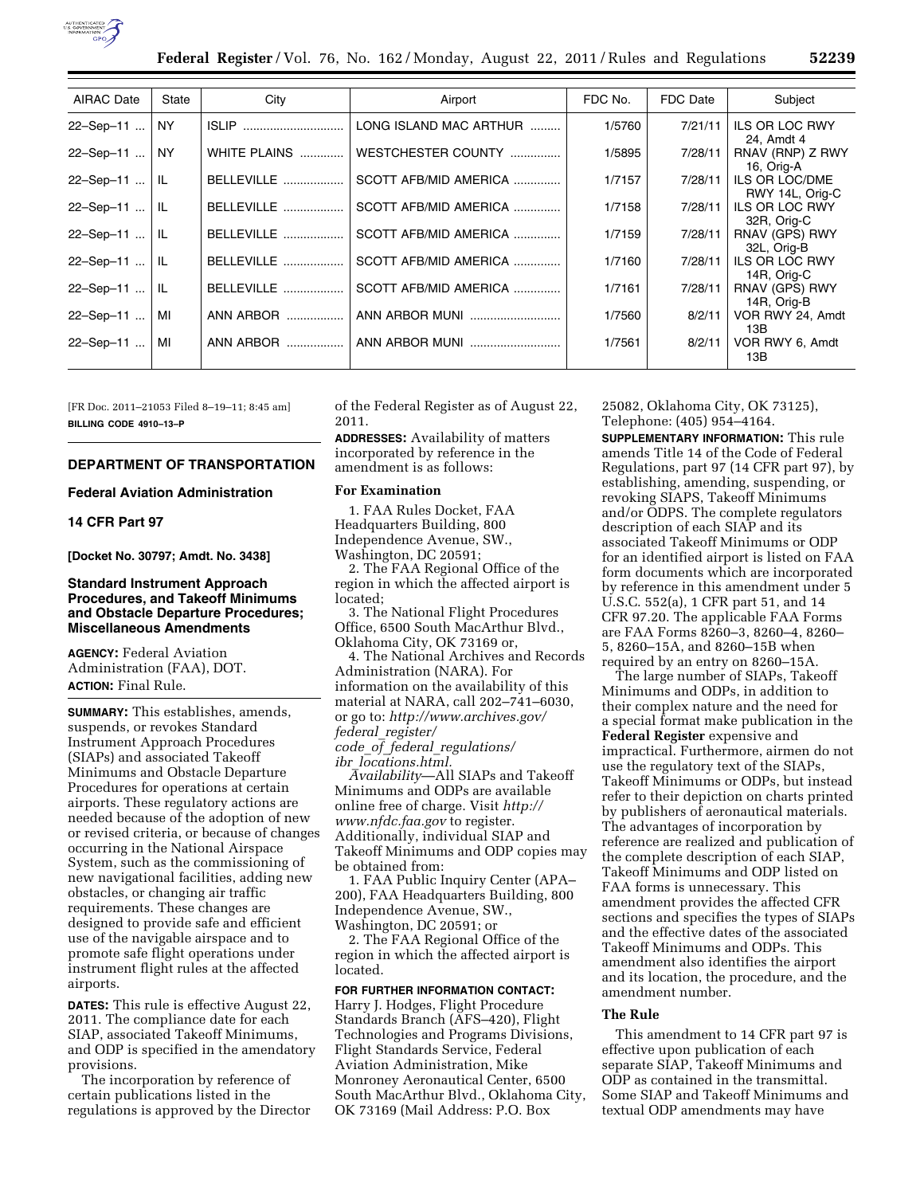

| <b>AIRAC Date</b> | State     | City              | Airport                | FDC No. | FDC Date | Subject                              |
|-------------------|-----------|-------------------|------------------------|---------|----------|--------------------------------------|
| 22-Sep-11         | <b>NY</b> | <b>ISLIP</b>      | LONG ISLAND MAC ARTHUR | 1/5760  | 7/21/11  | <b>ILS OR LOC RWY</b><br>24, Amdt 4  |
| 22-Sep-11         | <b>NY</b> | WHITE PLAINS      | WESTCHESTER COUNTY     | 1/5895  | 7/28/11  | RNAV (RNP) Z RWY<br>16, Orig-A       |
| 22-Sep-11         | -lL       | BELLEVILLE        | SCOTT AFB/MID AMERICA  | 1/7157  | 7/28/11  | ILS OR LOC/DME<br>RWY 14L, Orig-C    |
| 22-Sep-11         | -lL       | BELLEVILLE        | SCOTT AFB/MID AMERICA  | 1/7158  | 7/28/11  | <b>ILS OR LOC RWY</b><br>32R, Orig-C |
| $22 -$ Sep-11     | -lL       | BELLEVILLE        | SCOTT AFB/MID AMERICA  | 1/7159  | 7/28/11  | RNAV (GPS) RWY<br>32L, Orig-B        |
| 22-Sep-11         | -lL       | <b>BELLEVILLE</b> | SCOTT AFB/MID AMERICA  | 1/7160  | 7/28/11  | ILS OR LOC RWY<br>14R, Orig-C        |
| 22-Sep-11         | -lL       | BELLEVILLE        | SCOTT AFB/MID AMERICA  | 1/7161  | 7/28/11  | RNAV (GPS) RWY<br>14R, Orig-B        |
| 22-Sep-11         | MI        |                   | ANN ARBOR MUNI         | 1/7560  | 8/2/11   | VOR RWY 24, Amdt<br>13B              |
| 22-Sep-11         | МI        | ANN ARBOR         | ANN ARBOR MUNI         | 1/7561  | 8/2/11   | VOR RWY 6, Amdt<br>13B               |

[FR Doc. 2011–21053 Filed 8–19–11; 8:45 am] **BILLING CODE 4910–13–P** 

## **DEPARTMENT OF TRANSPORTATION**

## **Federal Aviation Administration**

# **14 CFR Part 97**

**[Docket No. 30797; Amdt. No. 3438]** 

## **Standard Instrument Approach Procedures, and Takeoff Minimums and Obstacle Departure Procedures; Miscellaneous Amendments**

**AGENCY:** Federal Aviation Administration (FAA), DOT. **ACTION:** Final Rule.

**SUMMARY:** This establishes, amends, suspends, or revokes Standard Instrument Approach Procedures (SIAPs) and associated Takeoff Minimums and Obstacle Departure Procedures for operations at certain airports. These regulatory actions are needed because of the adoption of new or revised criteria, or because of changes occurring in the National Airspace System, such as the commissioning of new navigational facilities, adding new obstacles, or changing air traffic requirements. These changes are designed to provide safe and efficient use of the navigable airspace and to promote safe flight operations under instrument flight rules at the affected airports.

**DATES:** This rule is effective August 22, 2011. The compliance date for each SIAP, associated Takeoff Minimums, and ODP is specified in the amendatory provisions.

The incorporation by reference of certain publications listed in the regulations is approved by the Director of the Federal Register as of August 22, 2011.

**ADDRESSES:** Availability of matters incorporated by reference in the amendment is as follows:

## **For Examination**

1. FAA Rules Docket, FAA Headquarters Building, 800 Independence Avenue, SW., Washington, DC 20591;

2. The FAA Regional Office of the region in which the affected airport is located;

3. The National Flight Procedures Office, 6500 South MacArthur Blvd., Oklahoma City, OK 73169 or,

4. The National Archives and Records Administration (NARA). For information on the availability of this material at NARA, call 202–741–6030, or go to: *[http://www.archives.gov/](http://www.archives.gov/federal_register/code_of_federal_regulations/ibr_locations.html) federal*\_*[register/](http://www.archives.gov/federal_register/code_of_federal_regulations/ibr_locations.html) code*\_*of*\_*federal*\_*[regulations/](http://www.archives.gov/federal_register/code_of_federal_regulations/ibr_locations.html)  ibr*\_*[locations.html.](http://www.archives.gov/federal_register/code_of_federal_regulations/ibr_locations.html)* 

*Availability*—All SIAPs and Takeoff Minimums and ODPs are available online free of charge. Visit *[http://](http://www.nfdc.faa.gov)  [www.nfdc.faa.gov](http://www.nfdc.faa.gov)* to register. Additionally, individual SIAP and Takeoff Minimums and ODP copies may be obtained from:

1. FAA Public Inquiry Center (APA– 200), FAA Headquarters Building, 800 Independence Avenue, SW., Washington, DC 20591; or

2. The FAA Regional Office of the region in which the affected airport is located.

## **FOR FURTHER INFORMATION CONTACT:**

Harry J. Hodges, Flight Procedure Standards Branch (AFS–420), Flight Technologies and Programs Divisions, Flight Standards Service, Federal Aviation Administration, Mike Monroney Aeronautical Center, 6500 South MacArthur Blvd., Oklahoma City, OK 73169 (Mail Address: P.O. Box

25082, Oklahoma City, OK 73125), Telephone: (405) 954–4164.

**SUPPLEMENTARY INFORMATION:** This rule amends Title 14 of the Code of Federal Regulations, part 97 (14 CFR part 97), by establishing, amending, suspending, or revoking SIAPS, Takeoff Minimums and/or ODPS. The complete regulators description of each SIAP and its associated Takeoff Minimums or ODP for an identified airport is listed on FAA form documents which are incorporated by reference in this amendment under 5 U.S.C. 552(a), 1 CFR part 51, and 14 CFR 97.20. The applicable FAA Forms are FAA Forms 8260–3, 8260–4, 8260– 5, 8260–15A, and 8260–15B when required by an entry on 8260–15A.

The large number of SIAPs, Takeoff Minimums and ODPs, in addition to their complex nature and the need for a special format make publication in the **Federal Register** expensive and impractical. Furthermore, airmen do not use the regulatory text of the SIAPs, Takeoff Minimums or ODPs, but instead refer to their depiction on charts printed by publishers of aeronautical materials. The advantages of incorporation by reference are realized and publication of the complete description of each SIAP, Takeoff Minimums and ODP listed on FAA forms is unnecessary. This amendment provides the affected CFR sections and specifies the types of SIAPs and the effective dates of the associated Takeoff Minimums and ODPs. This amendment also identifies the airport and its location, the procedure, and the amendment number.

#### **The Rule**

This amendment to 14 CFR part 97 is effective upon publication of each separate SIAP, Takeoff Minimums and ODP as contained in the transmittal. Some SIAP and Takeoff Minimums and textual ODP amendments may have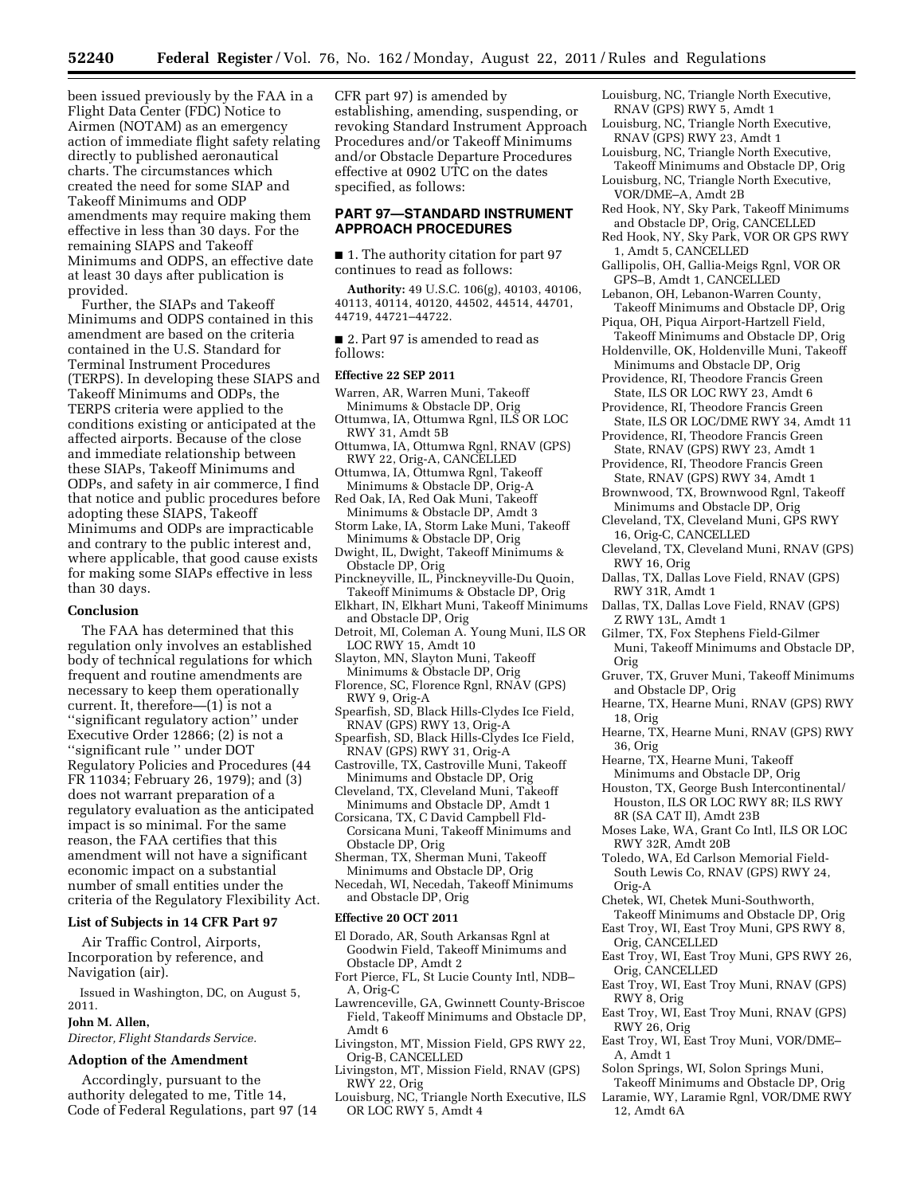been issued previously by the FAA in a Flight Data Center (FDC) Notice to Airmen (NOTAM) as an emergency action of immediate flight safety relating directly to published aeronautical charts. The circumstances which created the need for some SIAP and Takeoff Minimums and ODP amendments may require making them effective in less than 30 days. For the remaining SIAPS and Takeoff Minimums and ODPS, an effective date at least 30 days after publication is provided.

Further, the SIAPs and Takeoff Minimums and ODPS contained in this amendment are based on the criteria contained in the U.S. Standard for Terminal Instrument Procedures (TERPS). In developing these SIAPS and Takeoff Minimums and ODPs, the TERPS criteria were applied to the conditions existing or anticipated at the affected airports. Because of the close and immediate relationship between these SIAPs, Takeoff Minimums and ODPs, and safety in air commerce, I find that notice and public procedures before adopting these SIAPS, Takeoff Minimums and ODPs are impracticable and contrary to the public interest and, where applicable, that good cause exists for making some SIAPs effective in less than 30 days.

## **Conclusion**

The FAA has determined that this regulation only involves an established body of technical regulations for which frequent and routine amendments are necessary to keep them operationally current. It, therefore—(1) is not a ''significant regulatory action'' under Executive Order 12866; (2) is not a ''significant rule '' under DOT Regulatory Policies and Procedures (44 FR 11034; February 26, 1979); and (3) does not warrant preparation of a regulatory evaluation as the anticipated impact is so minimal. For the same reason, the FAA certifies that this amendment will not have a significant economic impact on a substantial number of small entities under the criteria of the Regulatory Flexibility Act.

### **List of Subjects in 14 CFR Part 97**

Air Traffic Control, Airports, Incorporation by reference, and Navigation (air).

Issued in Washington, DC, on August 5, 2011.

# **John M. Allen,**

*Director, Flight Standards Service.* 

#### **Adoption of the Amendment**

Accordingly, pursuant to the authority delegated to me, Title 14, Code of Federal Regulations, part 97 (14

CFR part 97) is amended by establishing, amending, suspending, or revoking Standard Instrument Approach Procedures and/or Takeoff Minimums and/or Obstacle Departure Procedures effective at 0902 UTC on the dates specified, as follows:

## **PART 97—STANDARD INSTRUMENT APPROACH PROCEDURES**

■ 1. The authority citation for part 97 continues to read as follows:

**Authority:** 49 U.S.C. 106(g), 40103, 40106, 40113, 40114, 40120, 44502, 44514, 44701, 44719, 44721–44722.

■ 2. Part 97 is amended to read as follows:

### **Effective 22 SEP 2011**

- Warren, AR, Warren Muni, Takeoff Minimums & Obstacle DP, Orig
- Ottumwa, IA, Ottumwa Rgnl, ILS OR LOC RWY 31, Amdt 5B Ottumwa, IA, Ottumwa Rgnl, RNAV (GPS)
- RWY 22, Orig-A, CANCELLED Ottumwa, IA, Ottumwa Rgnl, Takeoff
- Minimums & Obstacle DP, Orig-A
- Red Oak, IA, Red Oak Muni, Takeoff Minimums & Obstacle DP, Amdt 3
- Storm Lake, IA, Storm Lake Muni, Takeoff Minimums & Obstacle DP, Orig
- Dwight, IL, Dwight, Takeoff Minimums & Obstacle DP, Orig
- Pinckneyville, IL, Pinckneyville-Du Quoin, Takeoff Minimums & Obstacle DP, Orig
- Elkhart, IN, Elkhart Muni, Takeoff Minimums and Obstacle DP, Orig
- Detroit, MI, Coleman A. Young Muni, ILS OR LOC RWY 15, Amdt 10
- Slayton, MN, Slayton Muni, Takeoff Minimums & Obstacle DP, Orig
- Florence, SC, Florence Rgnl, RNAV (GPS) RWY 9, Orig-A
- Spearfish, SD, Black Hills-Clydes Ice Field, RNAV (GPS) RWY 13, Orig-A
- Spearfish, SD, Black Hills-Clydes Ice Field, RNAV (GPS) RWY 31, Orig-A
- Castroville, TX, Castroville Muni, Takeoff Minimums and Obstacle DP, Orig
- Cleveland, TX, Cleveland Muni, Takeoff Minimums and Obstacle DP, Amdt 1

Corsicana, TX, C David Campbell Fld-Corsicana Muni, Takeoff Minimums and Obstacle DP, Orig

Sherman, TX, Sherman Muni, Takeoff Minimums and Obstacle DP, Orig

Necedah, WI, Necedah, Takeoff Minimums and Obstacle DP, Orig

#### **Effective 20 OCT 2011**

- El Dorado, AR, South Arkansas Rgnl at Goodwin Field, Takeoff Minimums and Obstacle DP, Amdt 2
- Fort Pierce, FL, St Lucie County Intl, NDB– A, Orig-C
- Lawrenceville, GA, Gwinnett County-Briscoe Field, Takeoff Minimums and Obstacle DP, Amdt 6
- Livingston, MT, Mission Field, GPS RWY 22, Orig-B, CANCELLED
- Livingston, MT, Mission Field, RNAV (GPS) RWY 22, Orig
- Louisburg, NC, Triangle North Executive, ILS OR LOC RWY 5, Amdt 4
- Louisburg, NC, Triangle North Executive, RNAV (GPS) RWY 5, Amdt 1
- Louisburg, NC, Triangle North Executive, RNAV (GPS) RWY 23, Amdt 1
- Louisburg, NC, Triangle North Executive, Takeoff Minimums and Obstacle DP, Orig
- Louisburg, NC, Triangle North Executive, VOR/DME–A, Amdt 2B
- Red Hook, NY, Sky Park, Takeoff Minimums and Obstacle DP, Orig, CANCELLED
- Red Hook, NY, Sky Park, VOR OR GPS RWY 1, Amdt 5, CANCELLED
- Gallipolis, OH, Gallia-Meigs Rgnl, VOR OR GPS–B, Amdt 1, CANCELLED
- Lebanon, OH, Lebanon-Warren County, Takeoff Minimums and Obstacle DP, Orig
- Piqua, OH, Piqua Airport-Hartzell Field, Takeoff Minimums and Obstacle DP, Orig
- Holdenville, OK, Holdenville Muni, Takeoff Minimums and Obstacle DP, Orig
- Providence, RI, Theodore Francis Green State, ILS OR LOC RWY 23, Amdt 6
- Providence, RI, Theodore Francis Green State, ILS OR LOC/DME RWY 34, Amdt 11
- Providence, RI, Theodore Francis Green State, RNAV (GPS) RWY 23, Amdt 1
- Providence, RI, Theodore Francis Green State, RNAV (GPS) RWY 34, Amdt 1
- Brownwood, TX, Brownwood Rgnl, Takeoff Minimums and Obstacle DP, Orig
- Cleveland, TX, Cleveland Muni, GPS RWY 16, Orig-C, CANCELLED
- Cleveland, TX, Cleveland Muni, RNAV (GPS) RWY 16, Orig
- Dallas, TX, Dallas Love Field, RNAV (GPS) RWY 31R, Amdt 1
- Dallas, TX, Dallas Love Field, RNAV (GPS) Z RWY 13L, Amdt 1
- Gilmer, TX, Fox Stephens Field-Gilmer Muni, Takeoff Minimums and Obstacle DP, Orig
- Gruver, TX, Gruver Muni, Takeoff Minimums and Obstacle DP, Orig
- Hearne, TX, Hearne Muni, RNAV (GPS) RWY 18, Orig
- Hearne, TX, Hearne Muni, RNAV (GPS) RWY 36, Orig
- Hearne, TX, Hearne Muni, Takeoff
- Minimums and Obstacle DP, Orig Houston, TX, George Bush Intercontinental/
- Houston, ILS OR LOC RWY 8R; ILS RWY 8R (SA CAT II), Amdt 23B
- Moses Lake, WA, Grant Co Intl, ILS OR LOC RWY 32R, Amdt 20B
- Toledo, WA, Ed Carlson Memorial Field-South Lewis Co, RNAV (GPS) RWY 24, Orig-A
- Chetek, WI, Chetek Muni-Southworth,
- Takeoff Minimums and Obstacle DP, Orig East Troy, WI, East Troy Muni, GPS RWY 8,
- Orig, CANCELLED
- East Troy, WI, East Troy Muni, GPS RWY 26, Orig, CANCELLED
- East Troy, WI, East Troy Muni, RNAV (GPS) RWY 8, Orig
- East Troy, WI, East Troy Muni, RNAV (GPS) RWY 26, Orig
- East Troy, WI, East Troy Muni, VOR/DME– A, Amdt 1
- Solon Springs, WI, Solon Springs Muni,
- Takeoff Minimums and Obstacle DP, Orig Laramie, WY, Laramie Rgnl, VOR/DME RWY
- 12, Amdt 6A